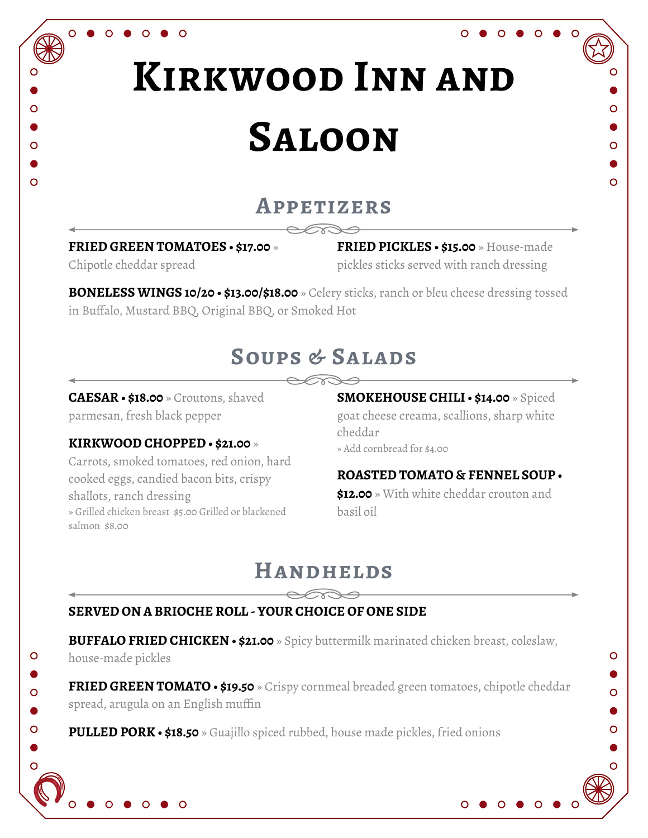# **Kirkwood Inn and Saloon**

### **Appetizers**

**FRIED GREEN TOMATOES • \$17.00** »

 $\circ$ 

Chipotle cheddar spread

 $\overline{O}$ 

**FRIED PICKLES • \$15.00** » House-made pickles sticks served with ranch dressing

Ō

 $\overline{O}$ 

 $\circ$ 

Ō

O

**BONELESS WINGS 10/20 • \$13.00/\$18.00** » Celery sticks, ranch or bleu cheese dressing tossed in Buffalo, Mustard BBQ, Original BBQ, or Smoked Hot

# **Soups & Salads**

**CAESAR • \$18.00** » Croutons, shaved parmesan, fresh black pepper

#### **KIRKWOOD CHOPPED** » Add cornbread for \$4.00 **• \$21.00** »

Carrots, smoked tomatoes, red onion, hard cooked eggs, candied bacon bits, crispy shallots, ranch dressing » Grilled chicken breast \$5.00 Grilled or blackened salmon \$8.00

**SMOKEHOUSE CHILI • \$14.00** » Spiced goat cheese creama, scallions, sharp white cheddar

#### **ROASTED TOMATO & FENNEL SOUP •**

**\$12.00** » With white cheddar crouton and basil oil

## **Handhelds**

#### **SERVED ON A BRIOCHE ROLL - YOUR CHOICE OF ONE SIDE**

**BUFFALO FRIED CHICKEN • \$21.00** » Spicy buttermilk marinated chicken breast, coleslaw,

house-made pickles

 $\circ$ 

 $\overline{O}$ 

Ó

**FRIED GREEN TOMATO • \$19.50** » Crispy cornmeal breaded green tomatoes, chipotle cheddar spread, arugula on an English muffin

**PULLED PORK • \$18.50** » Guajillo spiced rubbed, house made pickles, fried onions